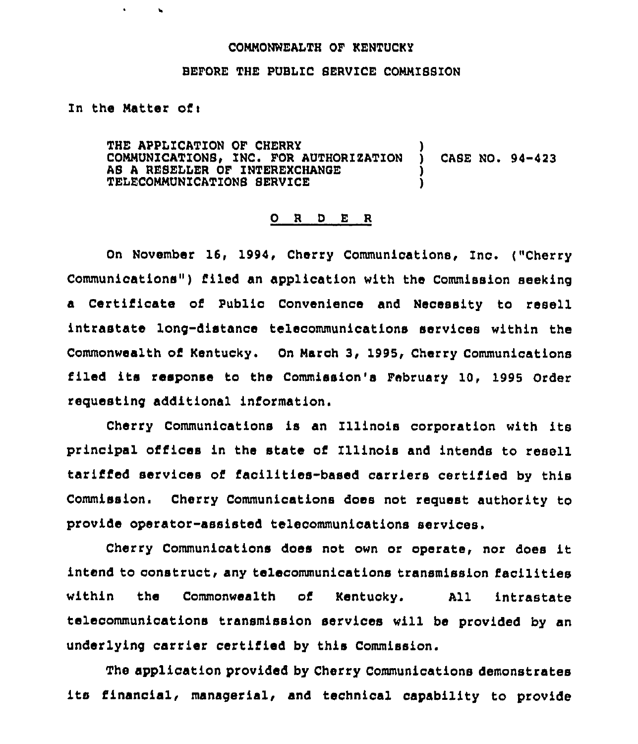## COMMONWEALTH OF KENTUCKY

## BEFORE THE PUBLIC SERVICE COMMISSION

## In the Matter ofi

 $\bullet$ 

THE APPLICATION OF CHERRY COMMUNICATIONS, INC. FOR AUTHORIZATION AS A RESELLER OF INTEREXCHANGE TELECOMMUNICATIONS SERVICE CASE NO. 94-423

## 0 <sup>R</sup> <sup>D</sup> <sup>E</sup> <sup>R</sup>

On November 16, 1994, Cherry Communications, Inc. ("Cherry Communications") filed an application with the Commission seeking a Certificate of Public Convenience and Necessity to resell intrastate long-distance telecommunications services within the Commonwealth of Kentucky. On March 3, 1995, Cherry Communications filed its response to the Commission's February 10, 1995 Order requesting additional information.

Cherry Communications is an Illinois corporation with its principal offices in the state of Illinois and intends to resell tariffed services of facilities-based carriers certified by this Commission. Cherry Communications does not request authority to provide operator-assisted telecommunications services.

Cherry Communications does not own or operate, nor does it intend to construct, any telecommunications transmission facilities within the Commonwealth of Kentucky. All intrastate telecommunications transmission services will be provided by an underlying carrier certified by this Commission.

The application provided by Cherry Communications demonstrates its financial, managerial, and technical capability to provide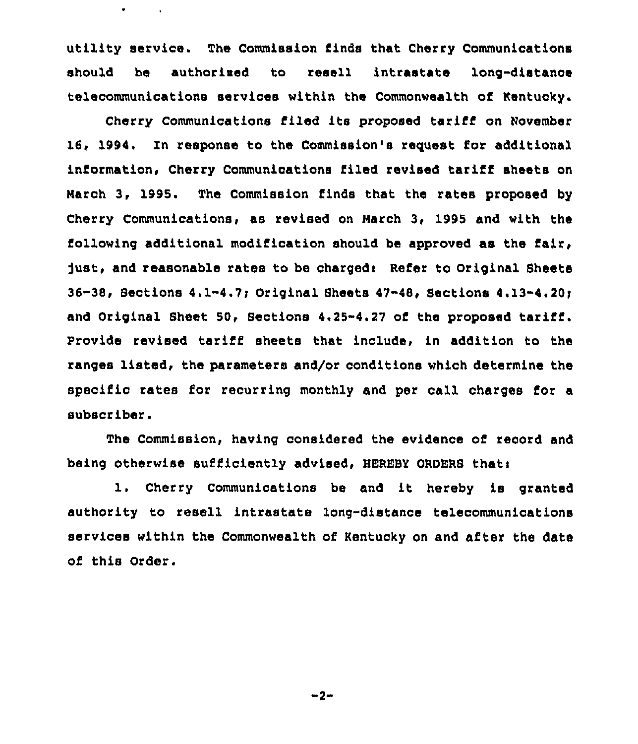utility service. The Commission finds that Cherry Communications should be authorised to resell intrastate long-distance telecommunications services within the Commonwealth of Kentucky.

 $\bullet$ 

Cherry Communications filed its proposed tariff on November 16, 1994. Zn response to the Commission's request for additional information, Cherry Communications filed revised tariff sheets on March 3, 1995. The Commission finds that the rates proposed by Cherry Communications, as revised on March 3, 1995 and with the following additional modification should be approved as the fair, just, and reasonable rates to be charged: Refer to Original Sheets 36-38, Sections 4.1-4.7; Original Sheets 47-48, Sections 4.13-4.20; and Original Sheet 50, Sections 4.25-4.27 of the proposed tariff. Provide revised tariff sheets that include, in addition to the ranges listed, the parameters and/or conditions which determine the specific rates for recurring monthly and per call charges for a subscriber.

The Commission, having considered the evidence of record and being otherwise sufficiently advised, HEREBY ORDERS that:

1. Cherry Communications be and it hereby is granted authority to resell intrastate long-distance telecommunications services within the Commonwealth of Kentucky on and after the date of this Order.

 $-2-$